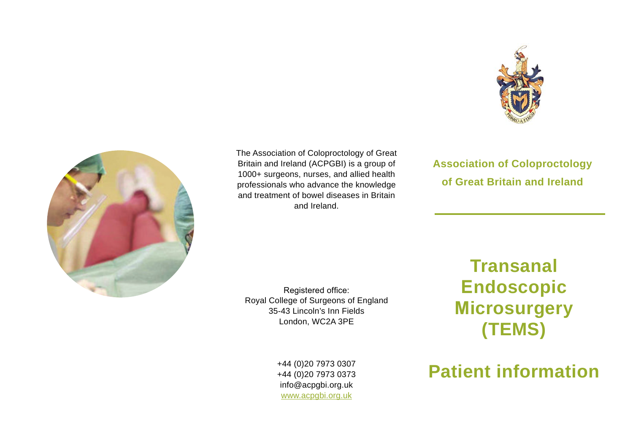



The Association of Coloproctology of Great Britain and Ireland (ACPGBI) is a group of 1000+ surgeons, nurses, and allied health professionals who advance the knowledge and treatment of bowel diseases in Britain and Ireland.

**Association of Coloproctology of Great Britain and Ireland**

Registered office: Royal College of Surgeons of England 35-43 Lincoln's Inn Fields London, WC2A 3PE

**Transanal Endoscopic Microsurgery (TEMS)**

+44 (0)20 7973 0307 +44 (0)20 7973 0373 info@acpgbi.org.uk www.acpgbi.org.uk

## **Patient information**